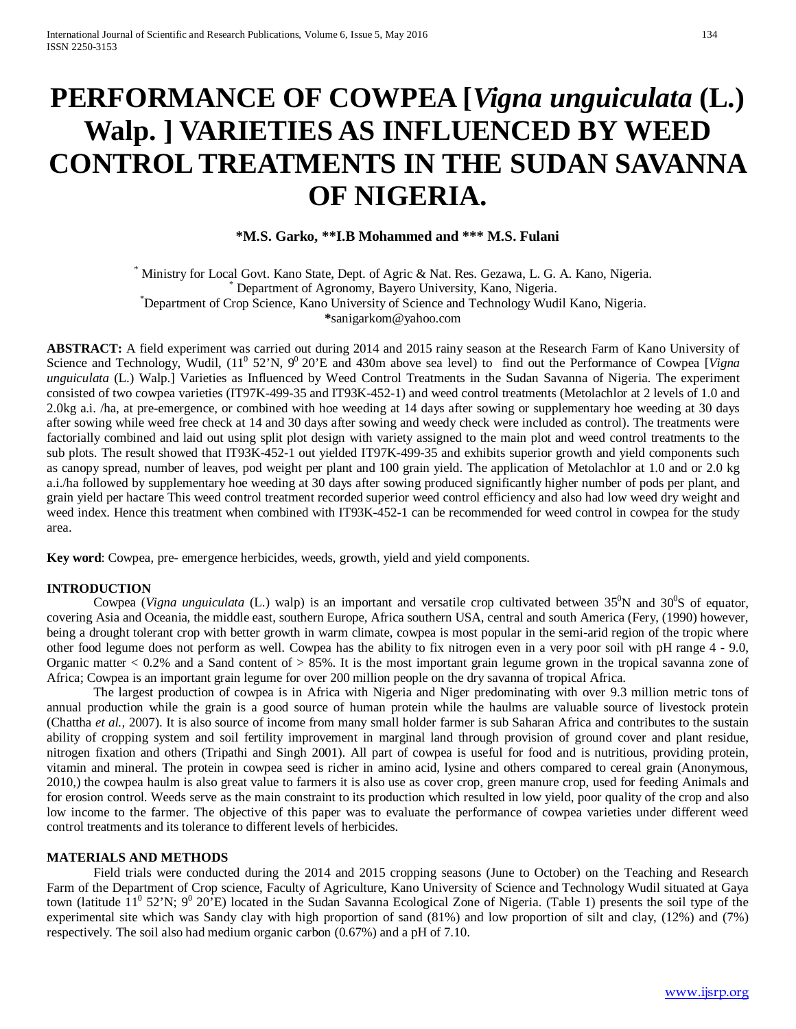# **PERFORMANCE OF COWPEA [***Vigna unguiculata* **(L.) Walp. ] VARIETIES AS INFLUENCED BY WEED CONTROL TREATMENTS IN THE SUDAN SAVANNA OF NIGERIA.**

**\*M.S. Garko, \*\*I.B Mohammed and \*\*\* M.S. Fulani**

Ministry for Local Govt. Kano State, Dept. of Agric & Nat. Res. Gezawa, L. G. A. Kano, Nigeria. \* Department of Agronomy, Bayero University, Kano, Nigeria. Department of Crop Science, Kano University of Science and Technology Wudil Kano, Nigeria. **\***sanigarkom@yahoo.com

**ABSTRACT:** A field experiment was carried out during 2014 and 2015 rainy season at the Research Farm of Kano University of Science and Technology, Wudil,  $(11^0 52^{\circ}N, 9^0 20^{\circ}E)$  and 430m above sea level) to find out the Performance of Cowpea [*Vigna unguiculata* (L.) Walp.] Varieties as Influenced by Weed Control Treatments in the Sudan Savanna of Nigeria. The experiment consisted of two cowpea varieties (IT97K-499-35 and IT93K-452-1) and weed control treatments (Metolachlor at 2 levels of 1.0 and 2.0kg a.i. /ha, at pre-emergence, or combined with hoe weeding at 14 days after sowing or supplementary hoe weeding at 30 days after sowing while weed free check at 14 and 30 days after sowing and weedy check were included as control). The treatments were factorially combined and laid out using split plot design with variety assigned to the main plot and weed control treatments to the sub plots. The result showed that IT93K-452-1 out yielded IT97K-499-35 and exhibits superior growth and yield components such as canopy spread, number of leaves, pod weight per plant and 100 grain yield. The application of Metolachlor at 1.0 and or 2.0 kg a.i./ha followed by supplementary hoe weeding at 30 days after sowing produced significantly higher number of pods per plant, and grain yield per hactare This weed control treatment recorded superior weed control efficiency and also had low weed dry weight and weed index. Hence this treatment when combined with IT93K-452-1 can be recommended for weed control in cowpea for the study area.

**Key word**: Cowpea, pre- emergence herbicides, weeds, growth, yield and yield components.

## **INTRODUCTION**

Cowpea (*Vigna unguiculata* (L.) walp) is an important and versatile crop cultivated between  $35^0$ N and  $30^0$ S of equator, covering Asia and Oceania, the middle east, southern Europe, Africa southern USA, central and south America (Fery, (1990) however, being a drought tolerant crop with better growth in warm climate, cowpea is most popular in the semi-arid region of the tropic where other food legume does not perform as well. Cowpea has the ability to fix nitrogen even in a very poor soil with pH range 4 - 9.0, Organic matter  $< 0.2\%$  and a Sand content of  $> 85\%$ . It is the most important grain legume grown in the tropical savanna zone of Africa; Cowpea is an important grain legume for over 200 million people on the dry savanna of tropical Africa.

The largest production of cowpea is in Africa with Nigeria and Niger predominating with over 9.3 million metric tons of annual production while the grain is a good source of human protein while the haulms are valuable source of livestock protein (Chattha *et al.,* 2007). It is also source of income from many small holder farmer is sub Saharan Africa and contributes to the sustain ability of cropping system and soil fertility improvement in marginal land through provision of ground cover and plant residue, nitrogen fixation and others (Tripathi and Singh 2001). All part of cowpea is useful for food and is nutritious, providing protein, vitamin and mineral. The protein in cowpea seed is richer in amino acid, lysine and others compared to cereal grain (Anonymous, 2010,) the cowpea haulm is also great value to farmers it is also use as cover crop, green manure crop, used for feeding Animals and for erosion control. Weeds serve as the main constraint to its production which resulted in low yield, poor quality of the crop and also low income to the farmer. The objective of this paper was to evaluate the performance of cowpea varieties under different weed control treatments and its tolerance to different levels of herbicides.

## **MATERIALS AND METHODS**

Field trials were conducted during the 2014 and 2015 cropping seasons (June to October) on the Teaching and Research Farm of the Department of Crop science, Faculty of Agriculture, Kano University of Science and Technology Wudil situated at Gaya town (latitude  $11^0$  52'N;  $9^0$  20'E) located in the Sudan Savanna Ecological Zone of Nigeria. (Table 1) presents the soil type of the experimental site which was Sandy clay with high proportion of sand (81%) and low proportion of silt and clay, (12%) and (7%) respectively. The soil also had medium organic carbon (0.67%) and a pH of 7.10.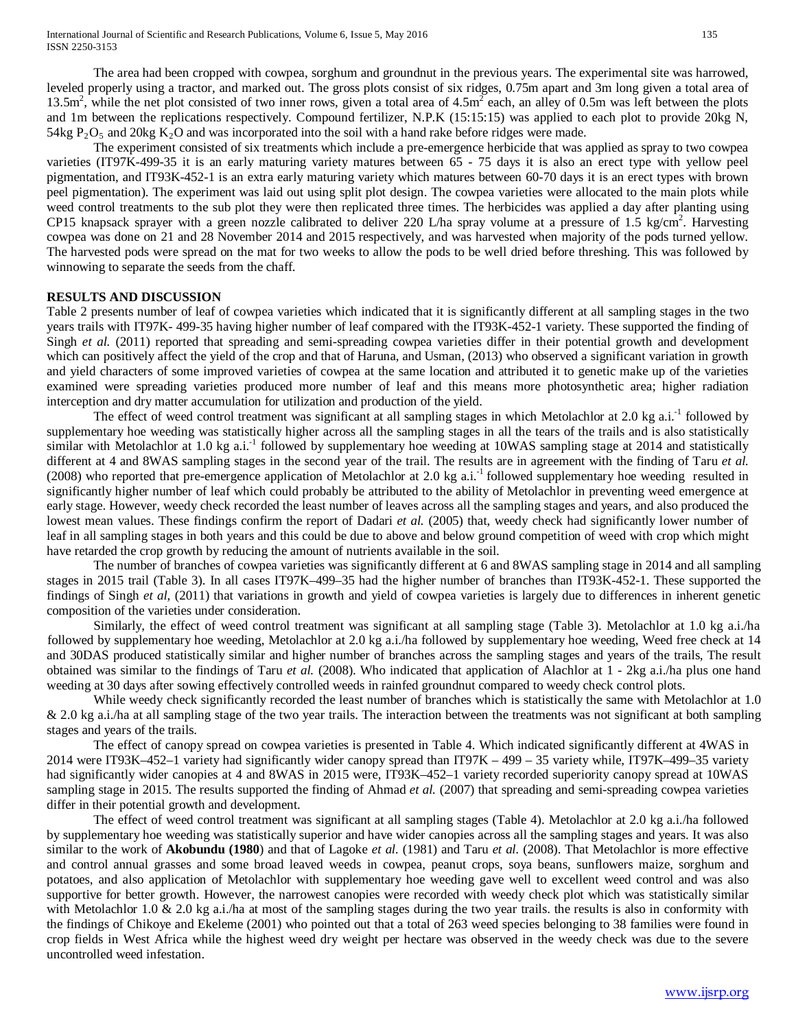leveled properly using a tractor, and marked out. The gross plots consist of six ridges, 0.75m apart and 3m long given a total area of 13.5m<sup>2</sup>, while the net plot consisted of two inner rows, given a total area of  $4.5<sup>m</sup>$  each, an alley of 0.5m was left between the plots and 1m between the replications respectively. Compound fertilizer, N.P.K (15:15:15) was applied to each plot to provide 20kg N, 54kg  $P_2O_5$  and 20kg  $K_2O$  and was incorporated into the soil with a hand rake before ridges were made.

The experiment consisted of six treatments which include a pre-emergence herbicide that was applied as spray to two cowpea varieties (IT97K-499-35 it is an early maturing variety matures between 65 - 75 days it is also an erect type with yellow peel pigmentation, and IT93K-452-1 is an extra early maturing variety which matures between 60-70 days it is an erect types with brown peel pigmentation). The experiment was laid out using split plot design. The cowpea varieties were allocated to the main plots while weed control treatments to the sub plot they were then replicated three times. The herbicides was applied a day after planting using CP15 knapsack sprayer with a green nozzle calibrated to deliver 220 L/ha spray volume at a pressure of 1.5 kg/cm<sup>2</sup>. Harvesting cowpea was done on 21 and 28 November 2014 and 2015 respectively, and was harvested when majority of the pods turned yellow. The harvested pods were spread on the mat for two weeks to allow the pods to be well dried before threshing. This was followed by winnowing to separate the seeds from the chaff.

## **RESULTS AND DISCUSSION**

Table 2 presents number of leaf of cowpea varieties which indicated that it is significantly different at all sampling stages in the two years trails with IT97K- 499-35 having higher number of leaf compared with the IT93K-452-1 variety. These supported the finding of Singh *et al.* (2011) reported that spreading and semi-spreading cowpea varieties differ in their potential growth and development which can positively affect the yield of the crop and that of Haruna, and Usman, (2013) who observed a significant variation in growth and yield characters of some improved varieties of cowpea at the same location and attributed it to genetic make up of the varieties examined were spreading varieties produced more number of leaf and this means more photosynthetic area; higher radiation interception and dry matter accumulation for utilization and production of the yield.

The effect of weed control treatment was significant at all sampling stages in which Metolachlor at 2.0 kg a.i.<sup>-1</sup> followed by supplementary hoe weeding was statistically higher across all the sampling stages in all the tears of the trails and is also statistically similar with Metolachlor at 1.0 kg a.i.<sup>-1</sup> followed by supplementary hoe weeding at 10WAS sampling stage at 2014 and statistically different at 4 and 8WAS sampling stages in the second year of the trail. The results are in agreement with the finding of Taru *et al.*  (2008) who reported that pre-emergence application of Metolachlor at 2.0 kg a.i.<sup>-1</sup> followed supplementary hoe weeding resulted in significantly higher number of leaf which could probably be attributed to the ability of Metolachlor in preventing weed emergence at early stage. However, weedy check recorded the least number of leaves across all the sampling stages and years, and also produced the lowest mean values. These findings confirm the report of Dadari *et al.* (2005) that, weedy check had significantly lower number of leaf in all sampling stages in both years and this could be due to above and below ground competition of weed with crop which might have retarded the crop growth by reducing the amount of nutrients available in the soil.

The number of branches of cowpea varieties was significantly different at 6 and 8WAS sampling stage in 2014 and all sampling stages in 2015 trail (Table 3). In all cases IT97K–499–35 had the higher number of branches than IT93K-452-1. These supported the findings of Singh *et al*, (2011) that variations in growth and yield of cowpea varieties is largely due to differences in inherent genetic composition of the varieties under consideration.

Similarly, the effect of weed control treatment was significant at all sampling stage (Table 3). Metolachlor at 1.0 kg a.i./ha followed by supplementary hoe weeding, Metolachlor at 2.0 kg a.i./ha followed by supplementary hoe weeding, Weed free check at 14 and 30DAS produced statistically similar and higher number of branches across the sampling stages and years of the trails, The result obtained was similar to the findings of Taru *et al.* (2008). Who indicated that application of Alachlor at 1 - 2kg a.i./ha plus one hand weeding at 30 days after sowing effectively controlled weeds in rainfed groundnut compared to weedy check control plots.

While weedy check significantly recorded the least number of branches which is statistically the same with Metolachlor at 1.0 & 2.0 kg a.i./ha at all sampling stage of the two year trails. The interaction between the treatments was not significant at both sampling stages and years of the trails.

The effect of canopy spread on cowpea varieties is presented in Table 4. Which indicated significantly different at 4WAS in 2014 were IT93K–452–1 variety had significantly wider canopy spread than IT97K – 499 – 35 variety while, IT97K–499–35 variety had significantly wider canopies at 4 and 8WAS in 2015 were, IT93K–452–1 variety recorded superiority canopy spread at 10WAS sampling stage in 2015. The results supported the finding of Ahmad *et al.* (2007) that spreading and semi-spreading cowpea varieties differ in their potential growth and development.

The effect of weed control treatment was significant at all sampling stages (Table 4). Metolachlor at 2.0 kg a.i./ha followed by supplementary hoe weeding was statistically superior and have wider canopies across all the sampling stages and years. It was also similar to the work of **Akobundu (1980**) and that of Lagoke *et al.* (1981) and Taru *et al.* (2008). That Metolachlor is more effective and control annual grasses and some broad leaved weeds in cowpea, peanut crops, soya beans, sunflowers maize, sorghum and potatoes, and also application of Metolachlor with supplementary hoe weeding gave well to excellent weed control and was also supportive for better growth. However, the narrowest canopies were recorded with weedy check plot which was statistically similar with Metolachlor 1.0  $\&$  2.0 kg a.i./ha at most of the sampling stages during the two year trails. the results is also in conformity with the findings of Chikoye and Ekeleme (2001) who pointed out that a total of 263 weed species belonging to 38 families were found in crop fields in West Africa while the highest weed dry weight per hectare was observed in the weedy check was due to the severe uncontrolled weed infestation.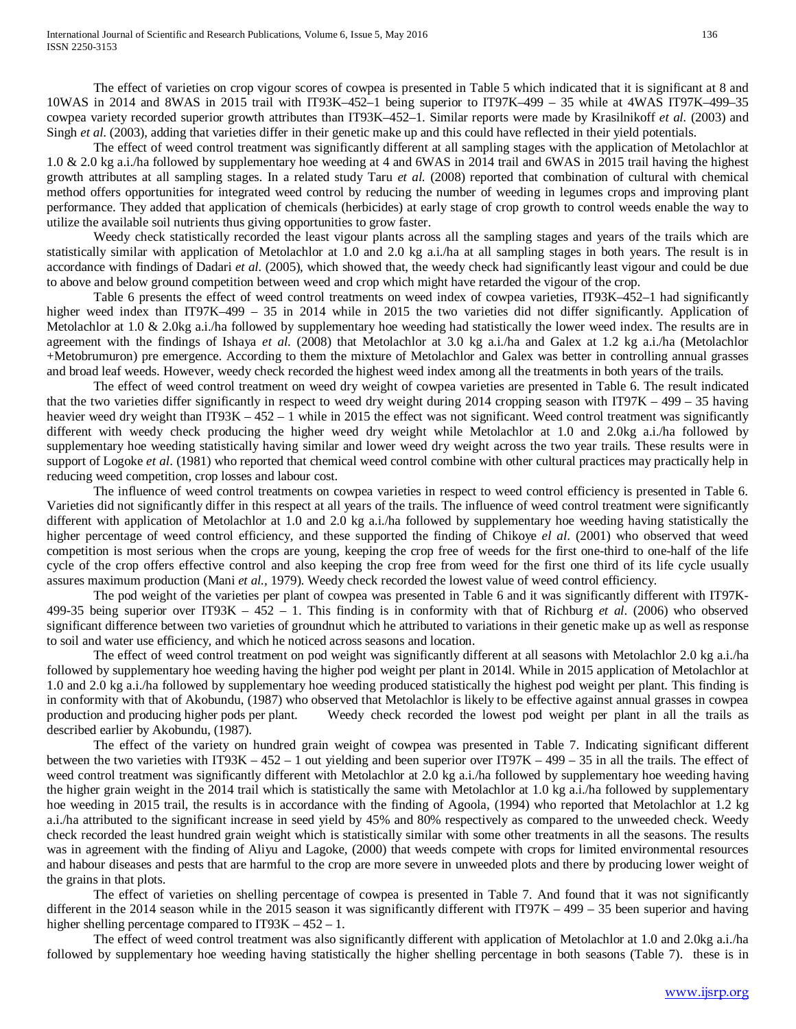The effect of varieties on crop vigour scores of cowpea is presented in Table 5 which indicated that it is significant at 8 and 10WAS in 2014 and 8WAS in 2015 trail with IT93K–452–1 being superior to IT97K–499 – 35 while at 4WAS IT97K–499–35 cowpea variety recorded superior growth attributes than IT93K–452–1. Similar reports were made by Krasilnikoff *et al.* (2003) and Singh *et al*. (2003), adding that varieties differ in their genetic make up and this could have reflected in their yield potentials.

The effect of weed control treatment was significantly different at all sampling stages with the application of Metolachlor at 1.0 & 2.0 kg a.i./ha followed by supplementary hoe weeding at 4 and 6WAS in 2014 trail and 6WAS in 2015 trail having the highest growth attributes at all sampling stages. In a related study Taru *et al.* (2008) reported that combination of cultural with chemical method offers opportunities for integrated weed control by reducing the number of weeding in legumes crops and improving plant performance. They added that application of chemicals (herbicides) at early stage of crop growth to control weeds enable the way to utilize the available soil nutrients thus giving opportunities to grow faster.

Weedy check statistically recorded the least vigour plants across all the sampling stages and years of the trails which are statistically similar with application of Metolachlor at 1.0 and 2.0 kg a.i./ha at all sampling stages in both years. The result is in accordance with findings of Dadari *et al.* (2005), which showed that, the weedy check had significantly least vigour and could be due to above and below ground competition between weed and crop which might have retarded the vigour of the crop.

Table 6 presents the effect of weed control treatments on weed index of cowpea varieties, IT93K–452–1 had significantly higher weed index than IT97K–499 – 35 in 2014 while in 2015 the two varieties did not differ significantly. Application of Metolachlor at 1.0 & 2.0kg a.i./ha followed by supplementary hoe weeding had statistically the lower weed index. The results are in agreement with the findings of Ishaya *et al*. (2008) that Metolachlor at 3.0 kg a.i./ha and Galex at 1.2 kg a.i./ha (Metolachlor +Metobrumuron) pre emergence. According to them the mixture of Metolachlor and Galex was better in controlling annual grasses and broad leaf weeds. However, weedy check recorded the highest weed index among all the treatments in both years of the trails.

The effect of weed control treatment on weed dry weight of cowpea varieties are presented in Table 6. The result indicated that the two varieties differ significantly in respect to weed dry weight during 2014 cropping season with IT97K – 499 – 35 having heavier weed dry weight than  $IT93K - 452 - 1$  while in 2015 the effect was not significant. Weed control treatment was significantly different with weedy check producing the higher weed dry weight while Metolachlor at 1.0 and 2.0kg a.i./ha followed by supplementary hoe weeding statistically having similar and lower weed dry weight across the two year trails. These results were in support of Logoke *et al.* (1981) who reported that chemical weed control combine with other cultural practices may practically help in reducing weed competition, crop losses and labour cost.

The influence of weed control treatments on cowpea varieties in respect to weed control efficiency is presented in Table 6. Varieties did not significantly differ in this respect at all years of the trails. The influence of weed control treatment were significantly different with application of Metolachlor at 1.0 and 2.0 kg a.i./ha followed by supplementary hoe weeding having statistically the higher percentage of weed control efficiency, and these supported the finding of Chikoye *el al*. (2001) who observed that weed competition is most serious when the crops are young, keeping the crop free of weeds for the first one-third to one-half of the life cycle of the crop offers effective control and also keeping the crop free from weed for the first one third of its life cycle usually assures maximum production (Mani *et al.,* 1979). Weedy check recorded the lowest value of weed control efficiency.

The pod weight of the varieties per plant of cowpea was presented in Table 6 and it was significantly different with IT97K-499-35 being superior over IT93K – 452 – 1. This finding is in conformity with that of Richburg *et al*. (2006) who observed significant difference between two varieties of groundnut which he attributed to variations in their genetic make up as well as response to soil and water use efficiency, and which he noticed across seasons and location.

The effect of weed control treatment on pod weight was significantly different at all seasons with Metolachlor 2.0 kg a.i./ha followed by supplementary hoe weeding having the higher pod weight per plant in 2014l. While in 2015 application of Metolachlor at 1.0 and 2.0 kg a.i./ha followed by supplementary hoe weeding produced statistically the highest pod weight per plant. This finding is in conformity with that of Akobundu, (1987) who observed that Metolachlor is likely to be effective against annual grasses in cowpea production and producing higher pods per plant. Weedy check recorded the lowest pod weigh Weedy check recorded the lowest pod weight per plant in all the trails as described earlier by Akobundu, (1987).

The effect of the variety on hundred grain weight of cowpea was presented in Table 7. Indicating significant different between the two varieties with IT93K –  $452 - 1$  out yielding and been superior over IT97K – 499 – 35 in all the trails. The effect of weed control treatment was significantly different with Metolachlor at 2.0 kg a.i./ha followed by supplementary hoe weeding having the higher grain weight in the 2014 trail which is statistically the same with Metolachlor at 1.0 kg a.i./ha followed by supplementary hoe weeding in 2015 trail, the results is in accordance with the finding of Agoola, (1994) who reported that Metolachlor at 1.2 kg a.i./ha attributed to the significant increase in seed yield by 45% and 80% respectively as compared to the unweeded check. Weedy check recorded the least hundred grain weight which is statistically similar with some other treatments in all the seasons. The results was in agreement with the finding of Aliyu and Lagoke, (2000) that weeds compete with crops for limited environmental resources and habour diseases and pests that are harmful to the crop are more severe in unweeded plots and there by producing lower weight of the grains in that plots.

The effect of varieties on shelling percentage of cowpea is presented in Table 7. And found that it was not significantly different in the 2014 season while in the 2015 season it was significantly different with IT97K  $-499 - 35$  been superior and having higher shelling percentage compared to IT93K – 452 – 1.

The effect of weed control treatment was also significantly different with application of Metolachlor at 1.0 and 2.0kg a.i./ha followed by supplementary hoe weeding having statistically the higher shelling percentage in both seasons (Table 7). these is in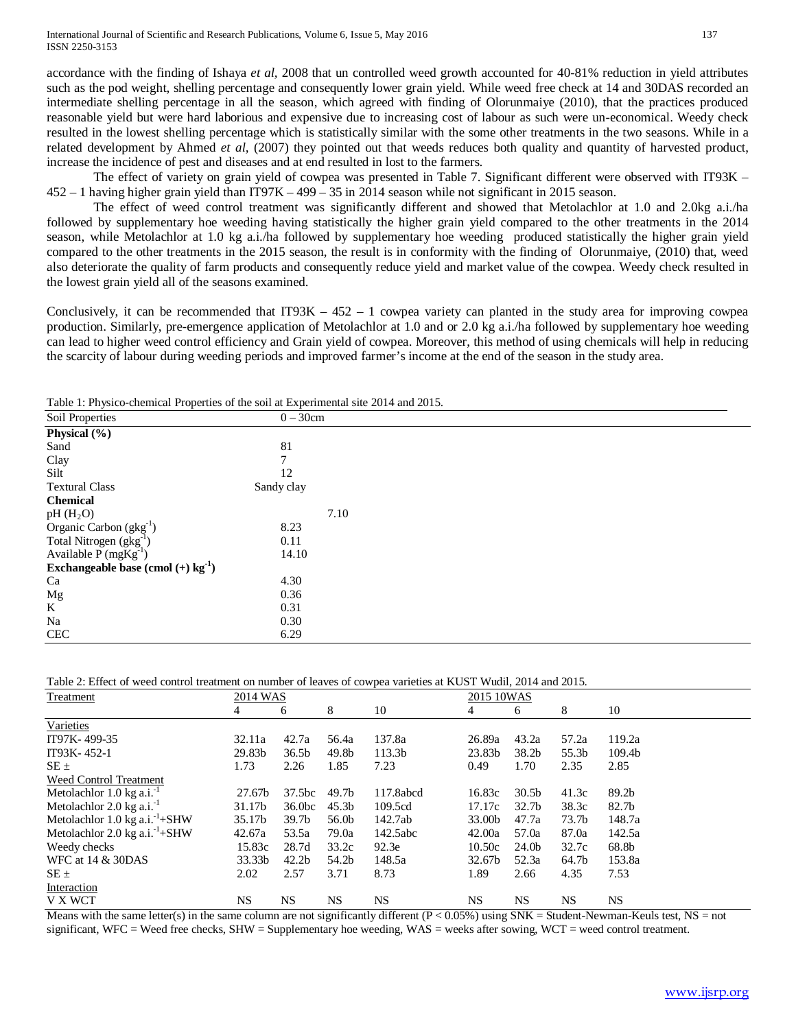accordance with the finding of Ishaya *et al,* 2008 that un controlled weed growth accounted for 40-81% reduction in yield attributes such as the pod weight, shelling percentage and consequently lower grain yield. While weed free check at 14 and 30DAS recorded an intermediate shelling percentage in all the season, which agreed with finding of Olorunmaiye (2010), that the practices produced reasonable yield but were hard laborious and expensive due to increasing cost of labour as such were un-economical. Weedy check resulted in the lowest shelling percentage which is statistically similar with the some other treatments in the two seasons. While in a related development by Ahmed *et al,* (2007) they pointed out that weeds reduces both quality and quantity of harvested product, increase the incidence of pest and diseases and at end resulted in lost to the farmers.

The effect of variety on grain yield of cowpea was presented in Table 7. Significant different were observed with IT93K – 452 – 1 having higher grain yield than IT97K – 499 – 35 in 2014 season while not significant in 2015 season.

The effect of weed control treatment was significantly different and showed that Metolachlor at 1.0 and 2.0kg a.i./ha followed by supplementary hoe weeding having statistically the higher grain yield compared to the other treatments in the 2014 season, while Metolachlor at 1.0 kg a.i./ha followed by supplementary hoe weeding produced statistically the higher grain yield compared to the other treatments in the 2015 season, the result is in conformity with the finding of Olorunmaiye, (2010) that, weed also deteriorate the quality of farm products and consequently reduce yield and market value of the cowpea. Weedy check resulted in the lowest grain yield all of the seasons examined.

Conclusively, it can be recommended that IT93K  $- 452 - 1$  cowpea variety can planted in the study area for improving cowpea production. Similarly, pre-emergence application of Metolachlor at 1.0 and or 2.0 kg a.i./ha followed by supplementary hoe weeding can lead to higher weed control efficiency and Grain yield of cowpea. Moreover, this method of using chemicals will help in reducing the scarcity of labour during weeding periods and improved farmer's income at the end of the season in the study area.

Table 1: Physico-chemical Properties of the soil at Experimental site 2014 and 2015.

| Soil Properties                                  | $0-30cm$   |  |
|--------------------------------------------------|------------|--|
| Physical (%)                                     |            |  |
| Sand                                             | 81         |  |
| Clay                                             |            |  |
| Silt                                             | 12         |  |
| <b>Textural Class</b>                            | Sandy clay |  |
| <b>Chemical</b>                                  |            |  |
| $pH(H_2O)$                                       | 7.10       |  |
| Organic Carbon $(gkg^{-1})$                      | 8.23       |  |
| Total Nitrogen $(gkg^{-1})$                      | 0.11       |  |
| Available $P(mgKg^{-1})$                         | 14.10      |  |
| Exchangeable base (cmol $(+)$ kg <sup>-1</sup> ) |            |  |
| Ca                                               | 4.30       |  |
| Mg                                               | 0.36       |  |
| K                                                | 0.31       |  |
| Na                                               | 0.30       |  |
| $\rm CEC$                                        | 6.29       |  |

Table 2: Effect of weed control treatment on number of leaves of cowpea varieties at KUST Wudil, 2014 and 2015.

| <b>Treatment</b>                           | 2014 WAS  |                    |                   | 2015 10WAS |        |                   |           |           |
|--------------------------------------------|-----------|--------------------|-------------------|------------|--------|-------------------|-----------|-----------|
|                                            | 4         | 6                  | 8                 | 10         | 4      | 6                 | 8         | 10        |
| Varieties                                  |           |                    |                   |            |        |                   |           |           |
| IT97K-499-35                               | 32.11a    | 42.7a              | 56.4a             | 137.8a     | 26.89a | 43.2a             | 57.2a     | 119.2a    |
| IT93K-452-1                                | 29.83b    | 36.5 <sub>b</sub>  | 49.8b             | 113.3b     | 23.83b | 38.2 <sub>b</sub> | 55.3b     | 109.4b    |
| $SE \pm$                                   | 1.73      | 2.26               | 1.85              | 7.23       | 0.49   | 1.70              | 2.35      | 2.85      |
| Weed Control Treatment                     |           |                    |                   |            |        |                   |           |           |
| Metolachlor 1.0 kg a.i. <sup>-1</sup>      | 27.67b    | 37.5bc             | 49.7 <sub>b</sub> | 117.8abcd  | 16.83c | 30.5 <sub>b</sub> | 41.3c     | 89.2b     |
| Metolachlor $2.0 \text{ kg a.i.}^{-1}$     | 31.17b    | 36.0 <sub>bc</sub> | 45.3 <sub>b</sub> | 109.5cd    | 17.17c | 32.7 <sub>b</sub> | 38.3c     | 82.7b     |
| Metolachlor 1.0 kg $a.i.^1+$ SHW           | 35.17b    | 39.7 <sub>b</sub>  | 56.0b             | 142.7ab    | 33.00b | 47.7a             | 73.7b     | 148.7a    |
| Metolachlor 2.0 kg a.i. <sup>-1</sup> +SHW | 42.67a    | 53.5a              | 79.0a             | 142.5abc   | 42.00a | 57.0a             | 87.0a     | 142.5a    |
| Weedy checks                               | 15.83c    | 28.7d              | 33.2c             | 92.3e      | 10.50c | 24.0b             | 32.7c     | 68.8b     |
| WFC at 14 & 30DAS                          | 33.33b    | 42.2 <sub>b</sub>  | 54.2b             | 148.5a     | 32.67b | 52.3a             | 64.7b     | 153.8a    |
| $SE \pm$                                   | 2.02      | 2.57               | 3.71              | 8.73       | 1.89   | 2.66              | 4.35      | 7.53      |
| Interaction                                |           |                    |                   |            |        |                   |           |           |
| V X WCT                                    | <b>NS</b> | NS.                | <b>NS</b>         | <b>NS</b>  | NS     | <b>NS</b>         | <b>NS</b> | <b>NS</b> |

Means with the same letter(s) in the same column are not significantly different  $(P < 0.05\%)$  using SNK = Student-Newman-Keuls test, NS = not significant, WFC = Weed free checks, SHW = Supplementary hoe weeding, WAS = weeks after sowing, WCT = weed control treatment.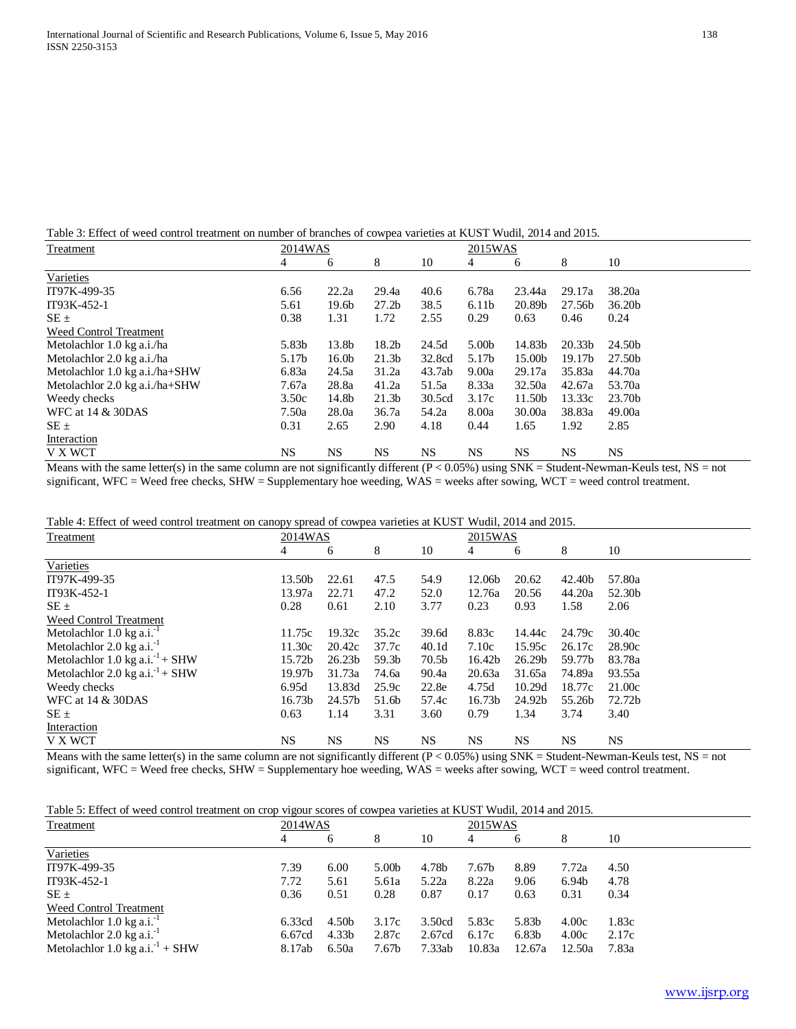Table 3: Effect of weed control treatment on number of branches of cowpea varieties at KUST Wudil, 2014 and 2015.

| <b>Treatment</b>               | 2014WAS |                   |                   | 2015WAS   |                   |           |                    |                    |
|--------------------------------|---------|-------------------|-------------------|-----------|-------------------|-----------|--------------------|--------------------|
|                                | 4       | 6                 | 8                 | 10        | 4                 | 6         | 8                  | 10                 |
| Varieties                      |         |                   |                   |           |                   |           |                    |                    |
| IT97K-499-35                   | 6.56    | 22.2a             | 29.4a             | 40.6      | 6.78a             | 23.44a    | 29.17a             | 38.20a             |
| IT93K-452-1                    | 5.61    | 19.6 <sub>b</sub> | 27.2 <sub>b</sub> | 38.5      | 6.11 <sub>b</sub> | 20.89b    | 27.56b             | 36.20 <sub>b</sub> |
| $SE \pm$                       | 0.38    | 1.31              | 1.72              | 2.55      | 0.29              | 0.63      | 0.46               | 0.24               |
| Weed Control Treatment         |         |                   |                   |           |                   |           |                    |                    |
| Metolachlor 1.0 kg a.i./ha     | 5.83b   | 13.8b             | 18.2 <sub>b</sub> | 24.5d     | 5.00b             | 14.83b    | 20.33 <sub>b</sub> | 24.50b             |
| Metolachlor 2.0 kg a.i./ha     | 5.17b   | 16.0 <sub>b</sub> | 21.3 <sub>b</sub> | 32.8cd    | 5.17b             | 15.00b    | 19.17b             | 27.50b             |
| Metolachlor 1.0 kg a.i./ha+SHW | 6.83a   | 24.5a             | 31.2a             | 43.7ab    | 9.00a             | 29.17a    | 35.83a             | 44.70a             |
| Metolachlor 2.0 kg a.i./ha+SHW | 7.67a   | 28.8a             | 41.2a             | 51.5a     | 8.33a             | 32.50a    | 42.67a             | 53.70a             |
| Weedy checks                   | 3.50c   | 14.8b             | 21.3 <sub>b</sub> | 30.5cd    | 3.17c             | 11.50b    | 13.33c             | 23.70b             |
| WFC at 14 & 30DAS              | 7.50a   | 28.0a             | 36.7a             | 54.2a     | 8.00a             | 30.00a    | 38.83a             | 49.00a             |
| $SE \pm$                       | 0.31    | 2.65              | 2.90              | 4.18      | 0.44              | 1.65      | 1.92               | 2.85               |
| Interaction                    |         |                   |                   |           |                   |           |                    |                    |
| V X WCT                        | NS.     | <b>NS</b>         | NS.               | <b>NS</b> | <b>NS</b>         | <b>NS</b> | <b>NS</b>          | NS.                |

Means with the same letter(s) in the same column are not significantly different ( $P < 0.05\%$ ) using SNK = Student-Newman-Keuls test, NS = not significant, WFC = Weed free checks, SHW = Supplementary hoe weeding, WAS = weeks after sowing, WCT = weed control treatment.

| Table 4: Effect of weed control treatment on canopy spread of cowpea varieties at KUST Wudil, 2014 and 2015. |
|--------------------------------------------------------------------------------------------------------------|
|--------------------------------------------------------------------------------------------------------------|

| Treatment                                   | 2014WAS            |                    |                   | 2015WAS           |                    |                    |        |           |
|---------------------------------------------|--------------------|--------------------|-------------------|-------------------|--------------------|--------------------|--------|-----------|
|                                             | 4                  | 6                  | 8                 | 10                | 4                  | 6                  | 8      | 10        |
| Varieties                                   |                    |                    |                   |                   |                    |                    |        |           |
| IT97K-499-35                                | 13.50b             | 22.61              | 47.5              | 54.9              | 12.06b             | 20.62              | 42.40b | 57.80a    |
| IT93K-452-1                                 | 13.97a             | 22.71              | 47.2              | 52.0              | 12.76a             | 20.56              | 44.20a | 52.30b    |
| $SE \pm$                                    | 0.28               | 0.61               | 2.10              | 3.77              | 0.23               | 0.93               | 1.58   | 2.06      |
| Weed Control Treatment                      |                    |                    |                   |                   |                    |                    |        |           |
| Metolachlor $1.0 \text{ kg a.i.}^{-1}$      | 11.75c             | 19.32c             | 35.2c             | 39.6d             | 8.83c              | 14.44c             | 24.79c | 30.40c    |
| Metolachlor 2.0 kg a.i. <sup>-1</sup>       | 11.30c             | 20.42c             | 37.7c             | 40.1 <sub>d</sub> | 7.10c              | 15.95c             | 26.17c | 28.90c    |
| Metolachlor 1.0 kg a.i. <sup>-1</sup> + SHW | 15.72b             | 26.23 <sub>b</sub> | 59.3 <sub>b</sub> | 70.5b             | 16.42b             | 26.29 <sub>b</sub> | 59.77b | 83.78a    |
| Metolachlor 2.0 kg a.i. <sup>-1</sup> + SHW | 19.97b             | 31.73a             | 74.6a             | 90.4a             | 20.63a             | 31.65a             | 74.89a | 93.55a    |
| Weedy checks                                | 6.95d              | 13.83d             | 25.9c             | 22.8e             | 4.75d              | 10.29d             | 18.77c | 21.00c    |
| WFC at $14 \& 30$ DAS                       | 16.73 <sub>b</sub> | 24.57b             | 51.6b             | 57.4c             | 16.73 <sub>b</sub> | 24.92b             | 55.26b | 72.72b    |
| $SE \pm$                                    | 0.63               | 1.14               | 3.31              | 3.60              | 0.79               | 1.34               | 3.74   | 3.40      |
| Interaction                                 |                    |                    |                   |                   |                    |                    |        |           |
| V X WCT                                     | NS.                | <b>NS</b>          | NS.               | <b>NS</b>         | <b>NS</b>          | NS.                | NS.    | <b>NS</b> |

Means with the same letter(s) in the same column are not significantly different  $(P < 0.05%)$  using SNK = Student-Newman-Keuls test, NS = not significant, WFC = Weed free checks, SHW = Supplementary hoe weeding, WAS = weeks after sowing, WCT = weed control treatment.

Table 5: Effect of weed control treatment on crop vigour scores of cowpea varieties at KUST Wudil, 2014 and 2015.

| Treatment                                   | 2014WAS |                   |       | 2015WAS |        |        |                   |       |
|---------------------------------------------|---------|-------------------|-------|---------|--------|--------|-------------------|-------|
|                                             | 4       | 6                 | 8     | 10      | 4      | 6      | 8                 | 10    |
| Varieties                                   |         |                   |       |         |        |        |                   |       |
| IT97K-499-35                                | 7.39    | 6.00              | 5.00b | 4.78b   | 7.67b  | 8.89   | 7.72a             | 4.50  |
| IT93K-452-1                                 | 7.72    | 5.61              | 5.61a | 5.22a   | 8.22a  | 9.06   | 6.94 <sub>b</sub> | 4.78  |
| $SE \pm$                                    | 0.36    | 0.51              | 0.28  | 0.87    | 0.17   | 0.63   | 0.31              | 0.34  |
| Weed Control Treatment                      |         |                   |       |         |        |        |                   |       |
| Metolachlor $1.0 \text{ kg a.i.}^{-1}$      | 6.33cd  | 4.50 <sub>b</sub> | 3.17c | 3.50cd  | 5.83c  | 5.83b  | 4.00c             | 1.83c |
| Metolachlor $2.0 \text{ kg a.i.}^{-1}$      | 6.67cd  | 4.33 <sub>b</sub> | 2.87c | 2.67cd  | 6.17c  | 6.83b  | 4.00c             | 2.17c |
| Metolachlor 1.0 kg a.i. <sup>-1</sup> + SHW | 8.17ab  | 6.50a             | 7.67b | 7.33ab  | 10.83a | 12.67a | 12.50a            | 7.83a |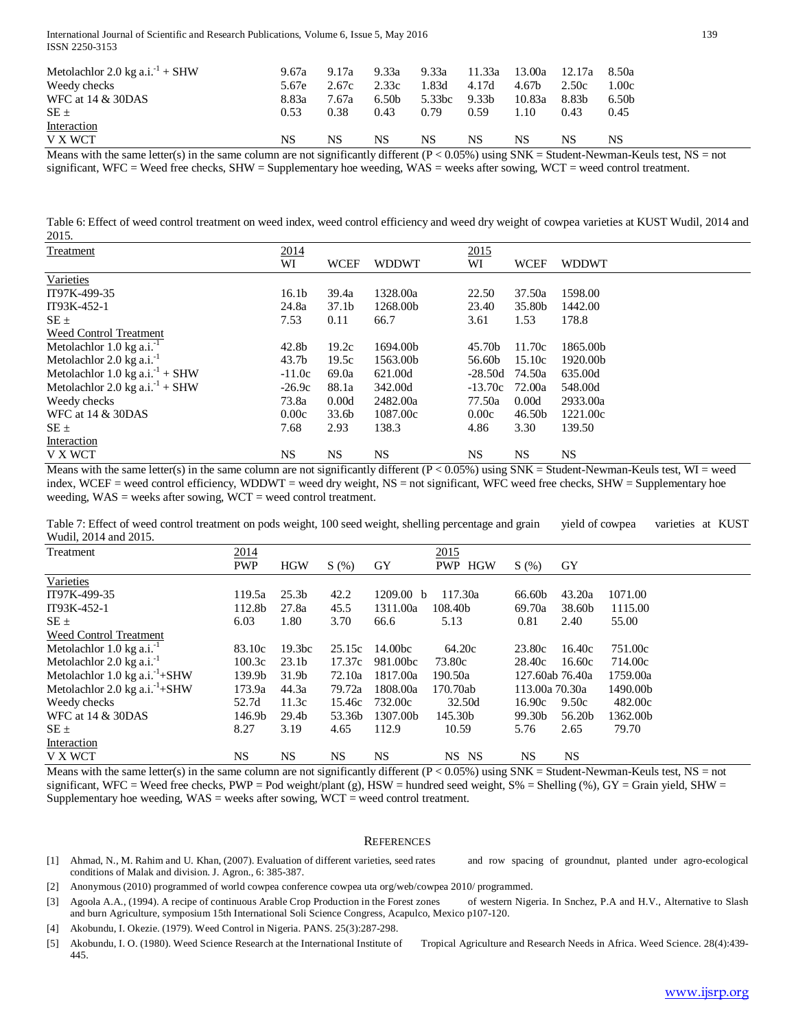International Journal of Scientific and Research Publications, Volume 6, Issue 5, May 2016 139 ISSN 2250-3153

| Metolachlor 2.0 kg a.i. <sup>-1</sup> + SHW | 9.67a | 9.17a | 9.33a             | 9.33a  | 11.33a | 13.00a | 12.17a            | 8.50a             |
|---------------------------------------------|-------|-------|-------------------|--------|--------|--------|-------------------|-------------------|
| Weedy checks                                | 5.67e | 2.67c | 2.33c             | 1.83d  | 4.17d  | 4.67b  | 2.50c             | 1.00c             |
| <b>WFC</b> at 14 & 30DAS                    | 8.83a | 7.67a | 6.50 <sub>b</sub> | 5.33bc | 9.33b  | 10.83a | 8.83 <sub>b</sub> | 6.50 <sub>b</sub> |
| $SE \pm$                                    | 0.53  | 0.38  | 0.43              | 0.79   | 0.59   | 1.10   | 0.43              | 0.45              |
| Interaction                                 |       |       |                   |        |        |        |                   |                   |
| V X WCT                                     | NS    | NS    | NS                | NS     | NS     | NS     | NS                | NS                |
| .                                           |       |       |                   |        |        |        |                   |                   |

Means with the same letter(s) in the same column are not significantly different  $(P < 0.05\%)$  using SNK = Student-Newman-Keuls test, NS = not significant, WFC = Weed free checks, SHW = Supplementary hoe weeding, WAS = weeks after sowing, WCT = weed control treatment.

Table 6: Effect of weed control treatment on weed index, weed control efficiency and weed dry weight of cowpea varieties at KUST Wudil, 2014 and 2015.

| <b>Treatment</b>                            | 2014              |                   |              | 2015      |             |              |
|---------------------------------------------|-------------------|-------------------|--------------|-----------|-------------|--------------|
|                                             | WI                | <b>WCEF</b>       | <b>WDDWT</b> | WI        | <b>WCEF</b> | <b>WDDWT</b> |
| Varieties                                   |                   |                   |              |           |             |              |
| IT97K-499-35                                | 16.1 <sub>b</sub> | 39.4a             | 1328.00a     | 22.50     | 37.50a      | 1598.00      |
| IT93K-452-1                                 | 24.8a             | 37.1 <sub>b</sub> | 1268.00b     | 23.40     | 35.80b      | 1442.00      |
| $SE \pm$                                    | 7.53              | 0.11              | 66.7         | 3.61      | 1.53        | 178.8        |
| Weed Control Treatment                      |                   |                   |              |           |             |              |
| Metolachlor $1.0 \text{ kg a.i.}^{-1}$      | 42.8b             | 19.2c             | 1694.00b     | 45.70b    | 11.70c      | 1865.00b     |
| Metolachlor $2.0 \text{ kg a.i.}^{-1}$      | 43.7 <sub>b</sub> | 19.5c             | 1563.00b     | 56.60b    | 15.10c      | 1920.00b     |
| Metolachlor 1.0 kg a.i. <sup>-1</sup> + SHW | $-11.0c$          | 69.0a             | 621.00d      | $-28.50d$ | 74.50a      | 635.00d      |
| Metolachlor 2.0 kg a.i. <sup>-1</sup> + SHW | $-26.9c$          | 88.1a             | 342.00d      | $-13.70c$ | 72.00a      | 548.00d      |
| Weedy checks                                | 73.8a             | 0.00d             | 2482.00a     | 77.50a    | 0.00d       | 2933.00a     |
| WFC at $14 \& 30$ DAS                       | 0.00c             | 33.6 <sub>b</sub> | 1087.00c     | 0.00c     | 46.50b      | 1221.00c     |
| $SE \pm$                                    | 7.68              | 2.93              | 138.3        | 4.86      | 3.30        | 139.50       |
| Interaction                                 |                   |                   |              |           |             |              |
| V X WCT                                     | <b>NS</b>         | <b>NS</b>         | NS.          | <b>NS</b> | <b>NS</b>   | NS.          |

Means with the same letter(s) in the same column are not significantly different  $(P < 0.05\%)$  using SNK = Student-Newman-Keuls test, WI = weed index, WCEF = weed control efficiency, WDDWT = weed dry weight, NS = not significant, WFC weed free checks, SHW = Supplementary hoe weeding, WAS = weeks after sowing, WCT = weed control treatment.

Table 7: Effect of weed control treatment on pods weight, 100 seed weight, shelling percentage and grain yield of cowpea varieties at KUST Wudil, 2014 and 2015.

| Treatment                                  | 2014       |                    |           |                     | 2015             |                 |           |          |
|--------------------------------------------|------------|--------------------|-----------|---------------------|------------------|-----------------|-----------|----------|
|                                            | <b>PWP</b> | <b>HGW</b>         | S(%)      | GY                  | <b>PWP HGW</b>   | S(%)            | GY        |          |
| Varieties                                  |            |                    |           |                     |                  |                 |           |          |
| IT97K-499-35                               | 119.5a     | 25.3 <sub>b</sub>  | 42.2      | 1209.00 b           | 117.30a          | 66.60b          | 43.20a    | 1071.00  |
| IT93K-452-1                                | 112.8b     | 27.8a              | 45.5      | 1311.00a            | 108.40b          | 69.70a          | 38.60b    | 1115.00  |
| $SE \pm$                                   | 6.03       | 1.80               | 3.70      | 66.6                | 5.13             | 0.81            | 2.40      | 55.00    |
| Weed Control Treatment                     |            |                    |           |                     |                  |                 |           |          |
| Metolachlor 1.0 kg a.i. <sup>-1</sup>      | 83.10c     | 19.3 <sub>bc</sub> | 25.15c    | 14.00 <sub>bc</sub> | 64.20c           | 23.80c          | 16.40c    | 751.00c  |
| Metolachlor $2.0 \text{ kg a.i.}^{-1}$     | 100.3c     | 23.1 <sub>b</sub>  | 17.37c    | 981.00bc            | 73.80c           | 28.40c          | 16.60c    | 714.00c  |
| Metolachlor 1.0 kg a.i. <sup>-1</sup> +SHW | 139.9b     | 31.9 <sub>b</sub>  | 72.10a    | 1817.00a            | 190.50a          | 127.60ab 76.40a |           | 1759.00a |
| Metolachlor 2.0 kg a.i. <sup>-1</sup> +SHW | 173.9a     | 44.3a              | 79.72a    | 1808.00a            | 170.70ab         | 113.00a 70.30a  |           | 1490.00b |
| Weedy checks                               | 52.7d      | 11.3c              | 15.46c    | 732.00c             | 32.50d           | 16.90c          | 9.50c     | 482.00c  |
| WFC at $14 \& 30$ DAS                      | 146.9b     | 29.4 <sub>b</sub>  | 53.36b    | 1307.00b            | 145.30b          | 99.30b          | 56.20b    | 1362.00b |
| $SE \pm$                                   | 8.27       | 3.19               | 4.65      | 112.9               | 10.59            | 5.76            | 2.65      | 79.70    |
| Interaction                                |            |                    |           |                     |                  |                 |           |          |
| <b>V X WCT</b>                             | NS         | <b>NS</b>          | <b>NS</b> | <b>NS</b>           | NS.<br><b>NS</b> | <b>NS</b>       | <b>NS</b> |          |

Means with the same letter(s) in the same column are not significantly different  $(P < 0.05\%)$  using SNK = Student-Newman-Keuls test, NS = not significant, WFC = Weed free checks,  $PWP = Pod weight/plant(g)$ ,  $HSW = hundred seed weight, S% = Shelling (%)$ ,  $GY = Grain yield, SHW = Q$ Supplementary hoe weeding,  $WAS$  = weeks after sowing,  $WCT$  = weed control treatment.

#### **REFERENCES**

[1] Ahmad, N., M. Rahim and U. Khan, (2007). Evaluation of different varieties, seed rates and row spacing of groundnut, planted under agro-ecological conditions of Malak and division. J. Agron., 6: 385-387.

[2] Anonymous (2010) programmed of world cowpea conference cowpea uta org/web/cowpea 2010/ programmed.

[3] Agoola A.A., (1994). A recipe of continuous Arable Crop Production in the Forest zones of western Nigeria. In Snchez, P.A and H.V., Alternative to Slash and burn Agriculture, symposium 15th International Soli Science Congress, Acapulco, Mexico p107-120.

[4] Akobundu, I. Okezie. (1979). Weed Control in Nigeria. PANS. 25(3):287-298.

[5] Akobundu, I. O. (1980). Weed Science Research at the International Institute of Tropical Agriculture and Research Needs in Africa. Weed Science. 28(4):439- 445.